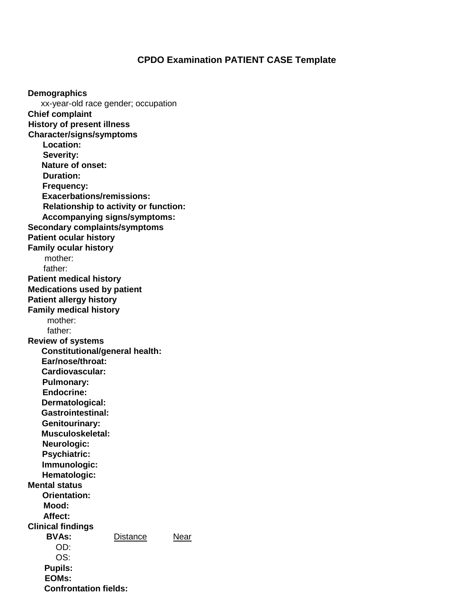## **CPDO Examination PATIENT CASE Template**

**Demographics** xx-year-old race gender; occupation **Chief complaint History of present illness Character/signs/symptoms Location: Severity: Nature of onset: Duration: Frequency: Exacerbations/remissions: Relationship to activity or function: Accompanying signs/symptoms: Secondary complaints/symptoms Patient ocular history Family ocular history** mother: father: **Patient medical history Medications used by patient Patient allergy history Family medical history**  mother: father: **Review of systems Constitutional/general health: Ear/nose/throat: Cardiovascular: Pulmonary: Endocrine: Dermatological: Gastrointestinal: Genitourinary: Musculoskeletal: Neurologic: Psychiatric: Immunologic: Hematologic: Mental status Orientation: Mood: Affect: Clinical findings BVAs:** Distance Near OD: OS: **Pupils: EOMs: Confrontation fields:**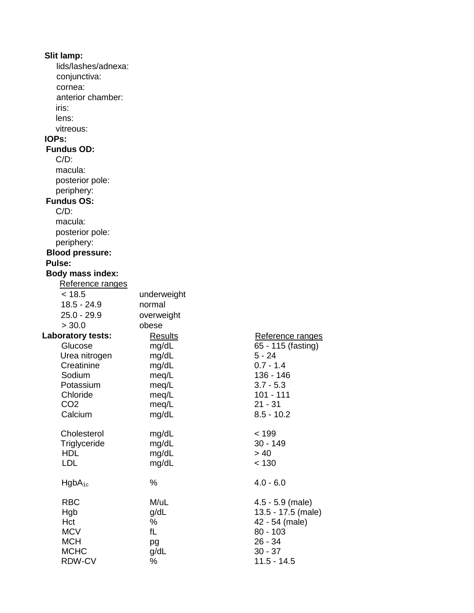| Slit lamp:              |                |                    |
|-------------------------|----------------|--------------------|
| lids/lashes/adnexa:     |                |                    |
| conjunctiva:            |                |                    |
| cornea:                 |                |                    |
| anterior chamber:       |                |                    |
| iris:                   |                |                    |
| lens:                   |                |                    |
| vitreous:               |                |                    |
| <b>IOPs:</b>            |                |                    |
| <b>Fundus OD:</b>       |                |                    |
| $C/D$ :                 |                |                    |
|                         |                |                    |
| macula:                 |                |                    |
| posterior pole:         |                |                    |
| periphery:              |                |                    |
| <b>Fundus OS:</b>       |                |                    |
| $C/D$ :                 |                |                    |
| macula:                 |                |                    |
| posterior pole:         |                |                    |
| periphery:              |                |                    |
| <b>Blood pressure:</b>  |                |                    |
| Pulse:                  |                |                    |
| <b>Body mass index:</b> |                |                    |
| Reference ranges        |                |                    |
| < 18.5                  | underweight    |                    |
| $18.5 - 24.9$           | normal         |                    |
| $25.0 - 29.9$           | overweight     |                    |
| > 30.0                  | obese          |                    |
| Laboratory tests:       | <b>Results</b> | Reference ranges   |
| Glucose                 | mg/dL          | 65 - 115 (fasting) |
| Urea nitrogen           | mg/dL          | $5 - 24$           |
| Creatinine              | mg/dL          | $0.7 - 1.4$        |
| Sodium                  | meq/L          | 136 - 146          |
| Potassium               | meg/L          | $3.7 - 5.3$        |
| Chloride                | meg/L          | 101 - 111          |
| CO <sub>2</sub>         | meq/L          | $21 - 31$          |
| Calcium                 | mg/dL          | $8.5 - 10.2$       |
|                         |                |                    |
| Cholesterol             | mg/dL          | < 199              |
| Triglyceride            | mg/dL          | $30 - 149$         |
| <b>HDL</b>              | mg/dL          | > 40               |
| <b>LDL</b>              | mg/dL          | < 130              |
|                         |                |                    |
| $HgbA_{1c}$             | %              | $4.0 - 6.0$        |
|                         |                |                    |
| <b>RBC</b>              | M/uL           | $4.5 - 5.9$ (male) |
| Hgb                     | g/dL           | 13.5 - 17.5 (male) |
| Hct                     | %              | 42 - 54 (male)     |
| <b>MCV</b>              | fL             | $80 - 103$         |
| <b>MCH</b>              | pg             | $26 - 34$          |
| <b>MCHC</b>             | g/dL           | $30 - 37$          |
| RDW-CV                  | ℅              | $11.5 - 14.5$      |
|                         |                |                    |

| Reference ranges<br>65 - 115 (fasting)<br>5 - 24<br>$0.7 - 1.4$<br>136 - 146<br>$3.7 - 5.3$<br>101 - 111<br>$21 - 31$<br>$8.5 - 10.2$ |
|---------------------------------------------------------------------------------------------------------------------------------------|
| < 199<br>30 - 149<br>> 40<br>< 130                                                                                                    |
| $4.0 - 6.0$                                                                                                                           |
| 4.5 - 5.9 (male)<br>13.5 - 17.5 (male)<br>42 - 54 (male)<br>$80 - 103$<br>26 - 34<br>$30 - 37$<br>11 E 11 E                           |